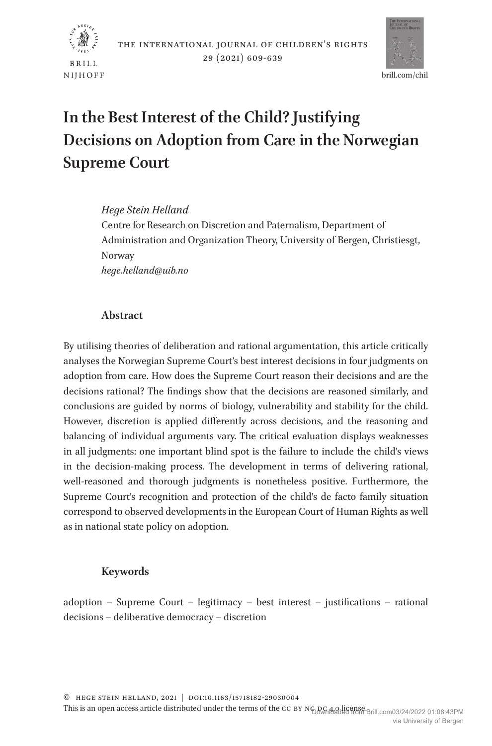



# **In the Best Interest of the Child? Justifying Decisions on Adoption from Care in the Norwegian Supreme Court**

## *Hege Stein Helland*

Centre for Research on Discretion and Paternalism, Department of Administration and Organization Theory, University of Bergen, Christiesgt, Norway *hege.helland@uib.no*

# **Abstract**

By utilising theories of deliberation and rational argumentation, this article critically analyses the Norwegian Supreme Court's best interest decisions in four judgments on adoption from care. How does the Supreme Court reason their decisions and are the decisions rational? The findings show that the decisions are reasoned similarly, and conclusions are guided by norms of biology, vulnerability and stability for the child. However, discretion is applied differently across decisions, and the reasoning and balancing of individual arguments vary. The critical evaluation displays weaknesses in all judgments: one important blind spot is the failure to include the child's views in the decision-making process. The development in terms of delivering rational, well-reasoned and thorough judgments is nonetheless positive. Furthermore, the Supreme Court's recognition and protection of the child's de facto family situation correspond to observed developments in the European Court of Human Rights as well as in national state policy on adoption.

# **Keywords**

adoption – Supreme Court – legitimacy – best interest – justifications – rational decisions – deliberative democracy – discretion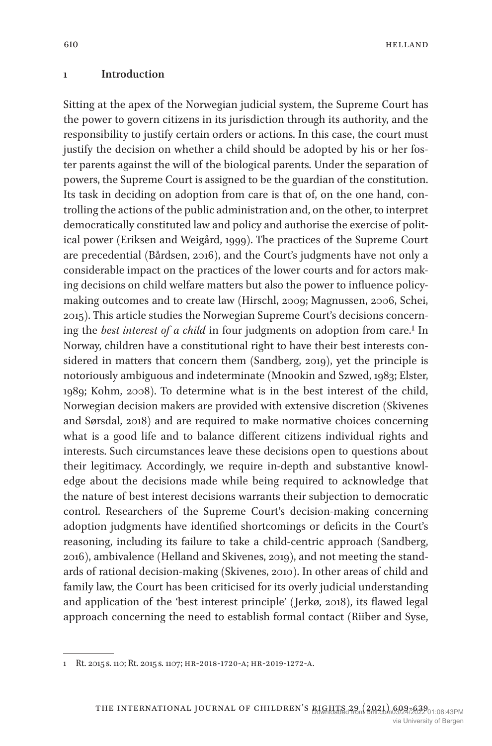#### **1 Introduction**

Sitting at the apex of the Norwegian judicial system, the Supreme Court has the power to govern citizens in its jurisdiction through its authority, and the responsibility to justify certain orders or actions. In this case, the court must justify the decision on whether a child should be adopted by his or her foster parents against the will of the biological parents. Under the separation of powers, the Supreme Court is assigned to be the guardian of the constitution. Its task in deciding on adoption from care is that of, on the one hand, controlling the actions of the public administration and, on the other, to interpret democratically constituted law and policy and authorise the exercise of political power (Eriksen and Weigård, 1999). The practices of the Supreme Court are precedential (Bårdsen, 2016), and the Court's judgments have not only a considerable impact on the practices of the lower courts and for actors making decisions on child welfare matters but also the power to influence policymaking outcomes and to create law (Hirschl, 2009; Magnussen, 2006, Schei, 2015). This article studies the Norwegian Supreme Court's decisions concerning the *best interest of a child* in four judgments on adoption from care.<sup>1</sup> In Norway, children have a constitutional right to have their best interests considered in matters that concern them (Sandberg, 2019), yet the principle is notoriously ambiguous and indeterminate (Mnookin and Szwed, 1983; Elster, 1989; Kohm, 2008). To determine what is in the best interest of the child, Norwegian decision makers are provided with extensive discretion (Skivenes and Sørsdal, 2018) and are required to make normative choices concerning what is a good life and to balance different citizens individual rights and interests. Such circumstances leave these decisions open to questions about their legitimacy. Accordingly, we require in-depth and substantive knowledge about the decisions made while being required to acknowledge that the nature of best interest decisions warrants their subjection to democratic control. Researchers of the Supreme Court's decision-making concerning adoption judgments have identified shortcomings or deficits in the Court's reasoning, including its failure to take a child-centric approach (Sandberg, 2016), ambivalence (Helland and Skivenes, 2019), and not meeting the standards of rational decision-making (Skivenes, 2010). In other areas of child and family law, the Court has been criticised for its overly judicial understanding and application of the 'best interest principle' (Jerkø, 2018), its flawed legal approach concerning the need to establish formal contact (Riiber and Syse,

<sup>1</sup> Rt. 2015 s. 110; Rt. 2015 s. 1107; hr-2018-1720-a; hr-2019-1272-a.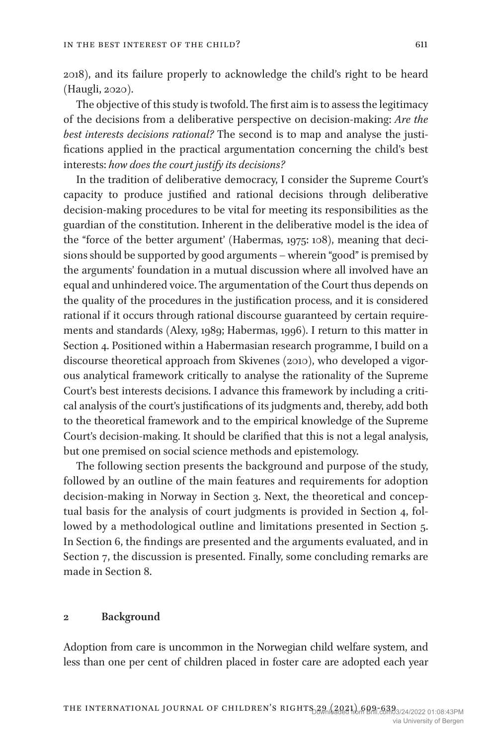2018), and its failure properly to acknowledge the child's right to be heard (Haugli, 2020).

The objective of this study is twofold. The first aim is to assess the legitimacy of the decisions from a deliberative perspective on decision-making: *Are the best interests decisions rational?* The second is to map and analyse the justifications applied in the practical argumentation concerning the child's best interests: *how does the court justify its decisions?*

In the tradition of deliberative democracy, I consider the Supreme Court's capacity to produce justified and rational decisions through deliberative decision-making procedures to be vital for meeting its responsibilities as the guardian of the constitution. Inherent in the deliberative model is the idea of the "force of the better argument' (Habermas, 1975: 108), meaning that decisions should be supported by good arguments – wherein "good" is premised by the arguments' foundation in a mutual discussion where all involved have an equal and unhindered voice. The argumentation of the Court thus depends on the quality of the procedures in the justification process, and it is considered rational if it occurs through rational discourse guaranteed by certain requirements and standards (Alexy, 1989; Habermas, 1996). I return to this matter in Section 4. Positioned within a Habermasian research programme, I build on a discourse theoretical approach from Skivenes (2010), who developed a vigorous analytical framework critically to analyse the rationality of the Supreme Court's best interests decisions. I advance this framework by including a critical analysis of the court's justifications of its judgments and, thereby, add both to the theoretical framework and to the empirical knowledge of the Supreme Court's decision-making. It should be clarified that this is not a legal analysis, but one premised on social science methods and epistemology.

The following section presents the background and purpose of the study, followed by an outline of the main features and requirements for adoption decision-making in Norway in Section 3. Next, the theoretical and conceptual basis for the analysis of court judgments is provided in Section 4, followed by a methodological outline and limitations presented in Section 5. In Section 6, the findings are presented and the arguments evaluated, and in Section 7, the discussion is presented. Finally, some concluding remarks are made in Section 8.

#### **2 Background**

Adoption from care is uncommon in the Norwegian child welfare system, and less than one per cent of children placed in foster care are adopted each year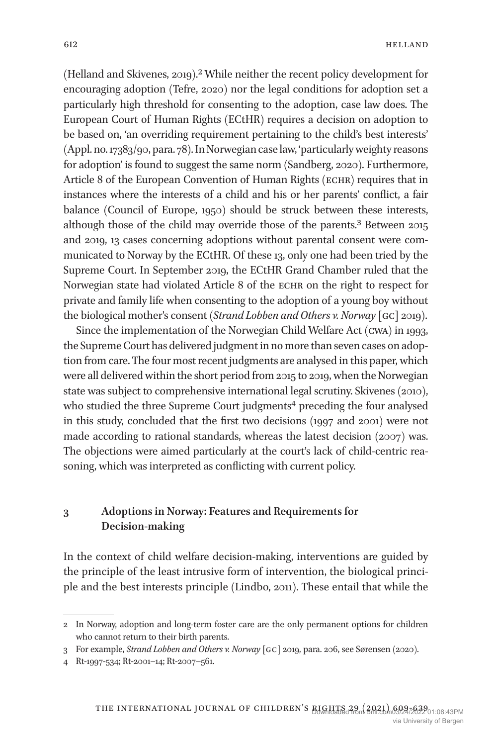(Helland and Skivenes, 2019).2 While neither the recent policy development for encouraging adoption (Tefre, 2020) nor the legal conditions for adoption set a particularly high threshold for consenting to the adoption, case law does. The European Court of Human Rights (ECtHR) requires a decision on adoption to be based on, 'an overriding requirement pertaining to the child's best interests' (Appl. no. 17383/90, para. 78). In Norwegian case law, 'particularly weighty reasons for adoption' is found to suggest the same norm (Sandberg, 2020). Furthermore, Article 8 of the European Convention of Human Rights (ECHR) requires that in instances where the interests of a child and his or her parents' conflict, a fair balance (Council of Europe, 1950) should be struck between these interests, although those of the child may override those of the parents.3 Between 2015 and 2019, 13 cases concerning adoptions without parental consent were communicated to Norway by the ECtHR. Of these 13, only one had been tried by the Supreme Court. In September 2019, the ECtHR Grand Chamber ruled that the Norwegian state had violated Article 8 of the ECHR on the right to respect for private and family life when consenting to the adoption of a young boy without the biological mother's consent (*Strand Lobben and Others v. Norway* [gc] 2019).

Since the implementation of the Norwegian Child Welfare Act (cwa) in 1993, the Supreme Court has delivered judgment in no more than seven cases on adoption from care. The four most recent judgments are analysed in this paper, which were all delivered within the short period from 2015 to 2019, when the Norwegian state was subject to comprehensive international legal scrutiny. Skivenes (2010), who studied the three Supreme Court judgments<sup>4</sup> preceding the four analysed in this study, concluded that the first two decisions (1997 and 2001) were not made according to rational standards, whereas the latest decision (2007) was. The objections were aimed particularly at the court's lack of child-centric reasoning, which was interpreted as conflicting with current policy.

# **3 Adoptions in Norway: Features and Requirements for Decision-making**

In the context of child welfare decision-making, interventions are guided by the principle of the least intrusive form of intervention, the biological principle and the best interests principle (Lindbo, 2011). These entail that while the

<sup>2</sup> In Norway, adoption and long-term foster care are the only permanent options for children who cannot return to their birth parents.

<sup>3</sup> For example, *Strand Lobben and Others v. Norway* [gc] 2019, para. 206, see Sørensen (2020).

<sup>4</sup> Rt-1997-534; Rt-2001–14; Rt-2007–561.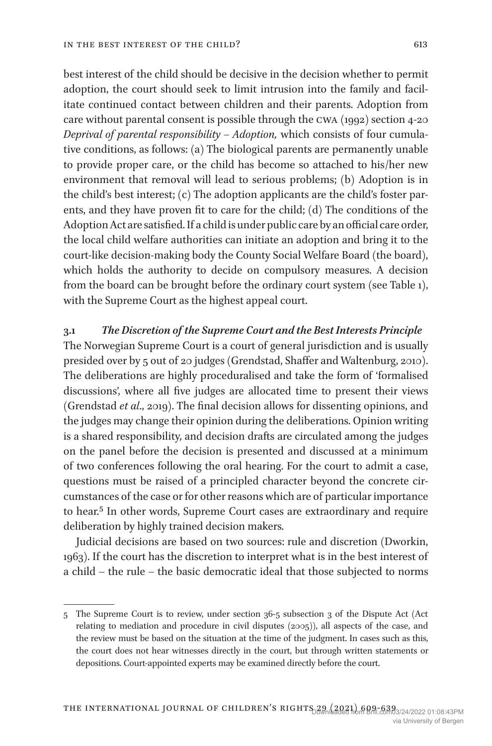best interest of the child should be decisive in the decision whether to permit adoption, the court should seek to limit intrusion into the family and facilitate continued contact between children and their parents. Adoption from care without parental consent is possible through the cwa (1992) section 4-20 *Deprival of parental responsibility – Adoption,* which consists of four cumulative conditions, as follows: (a) The biological parents are permanently unable to provide proper care, or the child has become so attached to his/her new environment that removal will lead to serious problems; (b) Adoption is in the child's best interest; (c) The adoption applicants are the child's foster parents, and they have proven fit to care for the child; (d) The conditions of the Adoption Act are satisfied. If a child is under public care by an official care order, the local child welfare authorities can initiate an adoption and bring it to the court-like decision-making body the County Social Welfare Board (the board), which holds the authority to decide on compulsory measures. A decision from the board can be brought before the ordinary court system (see Table 1), with the Supreme Court as the highest appeal court.

#### **3.1** *The Discretion of the Supreme Court and the Best Interests Principle*

The Norwegian Supreme Court is a court of general jurisdiction and is usually presided over by 5 out of 20 judges (Grendstad, Shaffer and Waltenburg, 2010). The deliberations are highly proceduralised and take the form of 'formalised discussions', where all five judges are allocated time to present their views (Grendstad *et al*., 2019). The final decision allows for dissenting opinions, and the judges may change their opinion during the deliberations. Opinion writing is a shared responsibility, and decision drafts are circulated among the judges on the panel before the decision is presented and discussed at a minimum of two conferences following the oral hearing. For the court to admit a case, questions must be raised of a principled character beyond the concrete circumstances of the case or for other reasons which are of particular importance to hear.<sup>5</sup> In other words, Supreme Court cases are extraordinary and require deliberation by highly trained decision makers.

Judicial decisions are based on two sources: rule and discretion (Dworkin, 1963). If the court has the discretion to interpret what is in the best interest of a child – the rule – the basic democratic ideal that those subjected to norms

<sup>5</sup> The Supreme Court is to review, under section 36-5 subsection 3 of the Dispute Act (Act relating to mediation and procedure in civil disputes (2005)), all aspects of the case, and the review must be based on the situation at the time of the judgment. In cases such as this, the court does not hear witnesses directly in the court, but through written statements or depositions. Court-appointed experts may be examined directly before the court.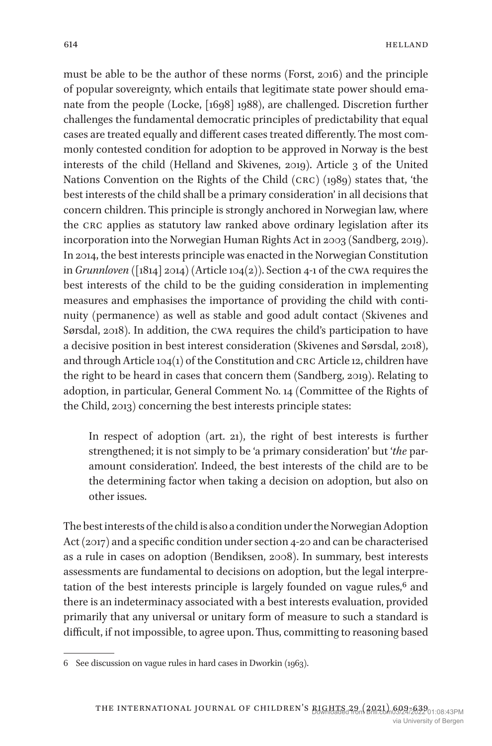must be able to be the author of these norms (Forst, 2016) and the principle of popular sovereignty, which entails that legitimate state power should emanate from the people (Locke, [1698] 1988), are challenged. Discretion further challenges the fundamental democratic principles of predictability that equal cases are treated equally and different cases treated differently. The most commonly contested condition for adoption to be approved in Norway is the best interests of the child (Helland and Skivenes, 2019). Article 3 of the United Nations Convention on the Rights of the Child (crc) (1989) states that, 'the best interests of the child shall be a primary consideration' in all decisions that concern children. This principle is strongly anchored in Norwegian law, where the crc applies as statutory law ranked above ordinary legislation after its incorporation into the Norwegian Human Rights Act in 2003 (Sandberg, 2019). In 2014, the best interests principle was enacted in the Norwegian Constitution in *Grunnloven* ([1814] 2014) (Article 104(2)). Section 4-1 of the cwa requires the best interests of the child to be the guiding consideration in implementing measures and emphasises the importance of providing the child with continuity (permanence) as well as stable and good adult contact (Skivenes and Sørsdal, 2018). In addition, the cwa requires the child's participation to have a decisive position in best interest consideration (Skivenes and Sørsdal, 2018), and through Article 104(1) of the Constitution and crc Article 12, children have the right to be heard in cases that concern them (Sandberg, 2019). Relating to adoption, in particular, General Comment No. 14 (Committee of the Rights of the Child, 2013) concerning the best interests principle states:

In respect of adoption (art. 21), the right of best interests is further strengthened; it is not simply to be 'a primary consideration' but '*the* paramount consideration'. Indeed, the best interests of the child are to be the determining factor when taking a decision on adoption, but also on other issues.

The best interests of the child is also a condition under the Norwegian Adoption Act (2017) and a specific condition under section 4-20 and can be characterised as a rule in cases on adoption (Bendiksen, 2008). In summary, best interests assessments are fundamental to decisions on adoption, but the legal interpretation of the best interests principle is largely founded on vague rules,<sup>6</sup> and there is an indeterminacy associated with a best interests evaluation, provided primarily that any universal or unitary form of measure to such a standard is difficult, if not impossible, to agree upon. Thus, committing to reasoning based

<sup>6</sup> See discussion on vague rules in hard cases in Dworkin (1963).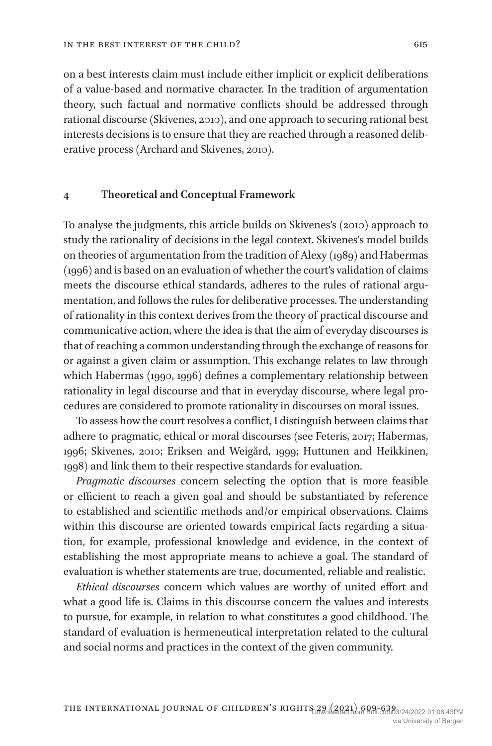on a best interests claim must include either implicit or explicit deliberations of a value-based and normative character. In the tradition of argumentation theory, such factual and normative conflicts should be addressed through rational discourse (Skivenes, 2010), and one approach to securing rational best interests decisions is to ensure that they are reached through a reasoned deliberative process (Archard and Skivenes, 2010).

#### **4 Theoretical and Conceptual Framework**

To analyse the judgments, this article builds on Skivenes's (2010) approach to study the rationality of decisions in the legal context. Skivenes's model builds on theories of argumentation from the tradition of Alexy (1989) and Habermas (1996) and is based on an evaluation of whether the court's validation of claims meets the discourse ethical standards, adheres to the rules of rational argumentation, and follows the rules for deliberative processes. The understanding of rationality in this context derives from the theory of practical discourse and communicative action, where the idea is that the aim of everyday discourses is that of reaching a common understanding through the exchange of reasons for or against a given claim or assumption. This exchange relates to law through which Habermas (1990, 1996) defines a complementary relationship between rationality in legal discourse and that in everyday discourse, where legal procedures are considered to promote rationality in discourses on moral issues.

To assess how the court resolves a conflict, I distinguish between claims that adhere to pragmatic, ethical or moral discourses (see Feteris, 2017; Habermas, 1996; Skivenes, 2010; Eriksen and Weigård, 1999; Huttunen and Heikkinen, 1998) and link them to their respective standards for evaluation.

*Pragmatic discourses* concern selecting the option that is more feasible or efficient to reach a given goal and should be substantiated by reference to established and scientific methods and/or empirical observations. Claims within this discourse are oriented towards empirical facts regarding a situation, for example, professional knowledge and evidence, in the context of establishing the most appropriate means to achieve a goal. The standard of evaluation is whether statements are true, documented, reliable and realistic.

*Ethical discourses* concern which values are worthy of united effort and what a good life is. Claims in this discourse concern the values and interests to pursue, for example, in relation to what constitutes a good childhood. The standard of evaluation is hermeneutical interpretation related to the cultural and social norms and practices in the context of the given community.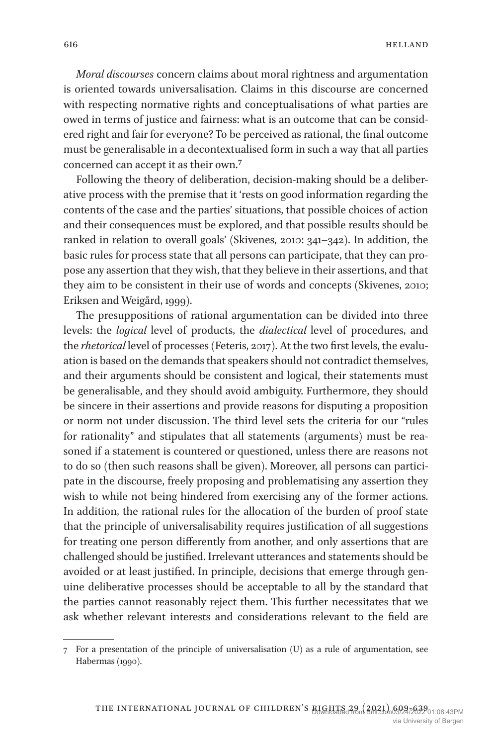*Moral discourses* concern claims about moral rightness and argumentation is oriented towards universalisation. Claims in this discourse are concerned with respecting normative rights and conceptualisations of what parties are owed in terms of justice and fairness: what is an outcome that can be considered right and fair for everyone? To be perceived as rational, the final outcome must be generalisable in a decontextualised form in such a way that all parties concerned can accept it as their own.7

Following the theory of deliberation, decision-making should be a deliberative process with the premise that it 'rests on good information regarding the contents of the case and the parties' situations, that possible choices of action and their consequences must be explored, and that possible results should be ranked in relation to overall goals' (Skivenes, 2010: 341–342). In addition, the basic rules for process state that all persons can participate, that they can propose any assertion that they wish, that they believe in their assertions, and that they aim to be consistent in their use of words and concepts (Skivenes, 2010; Eriksen and Weigård, 1999).

The presuppositions of rational argumentation can be divided into three levels: the *logical*  level of products, the *dialectical*  level of procedures, and the *rhetorical* level of processes (Feteris, 2017). At the two first levels, the evaluation is based on the demands that speakers should not contradict themselves, and their arguments should be consistent and logical, their statements must be generalisable, and they should avoid ambiguity. Furthermore, they should be sincere in their assertions and provide reasons for disputing a proposition or norm not under discussion. The third level sets the criteria for our "rules for rationality" and stipulates that all statements (arguments) must be reasoned if a statement is countered or questioned, unless there are reasons not to do so (then such reasons shall be given). Moreover, all persons can participate in the discourse, freely proposing and problematising any assertion they wish to while not being hindered from exercising any of the former actions. In addition, the rational rules for the allocation of the burden of proof state that the principle of universalisability requires justification of all suggestions for treating one person differently from another, and only assertions that are challenged should be justified. Irrelevant utterances and statements should be avoided or at least justified. In principle, decisions that emerge through genuine deliberative processes should be acceptable to all by the standard that the parties cannot reasonably reject them. This further necessitates that we ask whether relevant interests and considerations relevant to the field are

<sup>7</sup> For a presentation of the principle of universalisation (U) as a rule of argumentation, see Habermas (1990).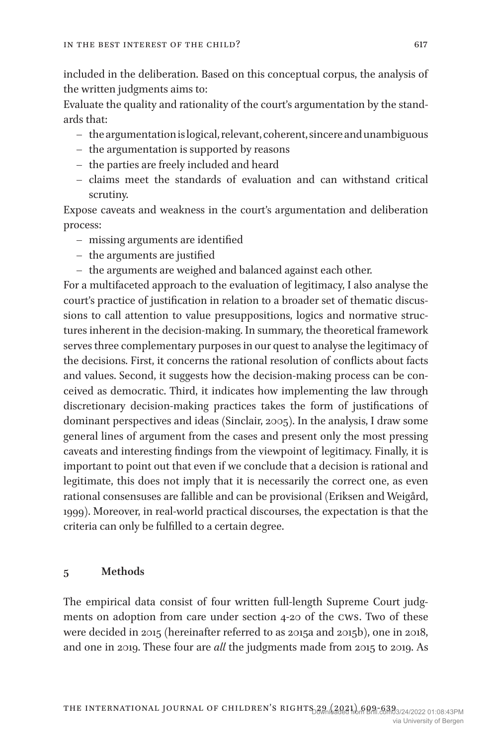included in the deliberation. Based on this conceptual corpus, the analysis of the written judgments aims to:

Evaluate the quality and rationality of the court's argumentation by the standards that:

- the argumentation is logical, relevant, coherent, sincere and unambiguous
- the argumentation is supported by reasons
- the parties are freely included and heard
- claims meet the standards of evaluation and can withstand critical scrutiny.

Expose caveats and weakness in the court's argumentation and deliberation process:

- missing arguments are identified
- the arguments are justified
- the arguments are weighed and balanced against each other.

For a multifaceted approach to the evaluation of legitimacy, I also analyse the court's practice of justification in relation to a broader set of thematic discussions to call attention to value presuppositions, logics and normative structures inherent in the decision-making. In summary, the theoretical framework serves three complementary purposes in our quest to analyse the legitimacy of the decisions. First, it concerns the rational resolution of conflicts about facts and values. Second, it suggests how the decision-making process can be conceived as democratic. Third, it indicates how implementing the law through discretionary decision-making practices takes the form of justifications of dominant perspectives and ideas (Sinclair, 2005). In the analysis, I draw some general lines of argument from the cases and present only the most pressing caveats and interesting findings from the viewpoint of legitimacy. Finally, it is important to point out that even if we conclude that a decision is rational and legitimate, this does not imply that it is necessarily the correct one, as even rational consensuses are fallible and can be provisional (Eriksen and Weigård, 1999). Moreover, in real-world practical discourses, the expectation is that the criteria can only be fulfilled to a certain degree.

#### **5 Methods**

The empirical data consist of four written full-length Supreme Court judgments on adoption from care under section 4-20 of the cws. Two of these were decided in 2015 (hereinafter referred to as 2015a and 2015b), one in 2018, and one in 2019. These four are *all* the judgments made from 2015 to 2019. As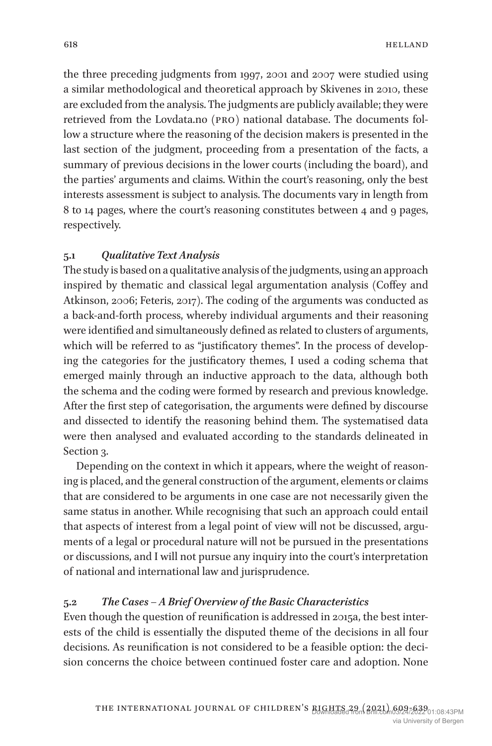the three preceding judgments from 1997, 2001 and 2007 were studied using a similar methodological and theoretical approach by Skivenes in 2010, these are excluded from the analysis. The judgments are publicly available; they were retrieved from the Lovdata.no (pro) national database. The documents follow a structure where the reasoning of the decision makers is presented in the last section of the judgment, proceeding from a presentation of the facts, a summary of previous decisions in the lower courts (including the board), and the parties' arguments and claims. Within the court's reasoning, only the best interests assessment is subject to analysis. The documents vary in length from 8 to 14 pages, where the court's reasoning constitutes between 4 and 9 pages, respectively.

## **5.1** *Qualitative Text Analysis*

The study is based on a qualitative analysis of the judgments, using an approach inspired by thematic and classical legal argumentation analysis (Coffey and Atkinson, 2006; Feteris, 2017). The coding of the arguments was conducted as a back-and-forth process, whereby individual arguments and their reasoning were identified and simultaneously defined as related to clusters of arguments, which will be referred to as "justificatory themes". In the process of developing the categories for the justificatory themes, I used a coding schema that emerged mainly through an inductive approach to the data, although both the schema and the coding were formed by research and previous knowledge. After the first step of categorisation, the arguments were defined by discourse and dissected to identify the reasoning behind them. The systematised data were then analysed and evaluated according to the standards delineated in Section 3.

Depending on the context in which it appears, where the weight of reasoning is placed, and the general construction of the argument, elements or claims that are considered to be arguments in one case are not necessarily given the same status in another. While recognising that such an approach could entail that aspects of interest from a legal point of view will not be discussed, arguments of a legal or procedural nature will not be pursued in the presentations or discussions, and I will not pursue any inquiry into the court's interpretation of national and international law and jurisprudence.

## **5.2** *The Cases – A Brief Overview of the Basic Characteristics*

Even though the question of reunification is addressed in 2015a, the best interests of the child is essentially the disputed theme of the decisions in all four decisions. As reunification is not considered to be a feasible option: the decision concerns the choice between continued foster care and adoption. None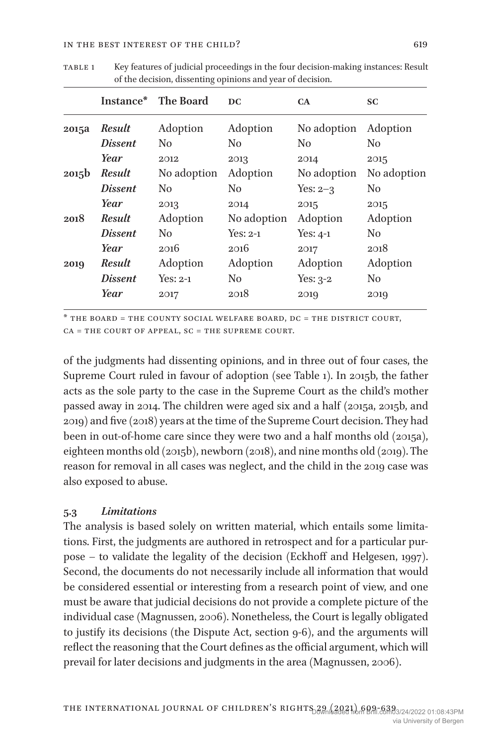|                   | Instance*      | <b>The Board</b> | DC.            | CA          | SC             |
|-------------------|----------------|------------------|----------------|-------------|----------------|
| 2015a             | <b>Result</b>  | Adoption         | Adoption       | No adoption | Adoption       |
|                   | <i>Dissent</i> | N <sub>0</sub>   | N <sub>0</sub> | No          | No             |
|                   | Year           | 2012             | 2013           | 2014        | 2015           |
| 2015 <sub>b</sub> | <b>Result</b>  | No adoption      | Adoption       | No adoption | No adoption    |
|                   | <i>Dissent</i> | N <sub>0</sub>   | N <sub>0</sub> | Yes: $2-3$  | N <sub>0</sub> |
|                   | Year           | 2013             | 2014           | 2015        | 2015           |
| 2018              | <b>Result</b>  | Adoption         | No adoption    | Adoption    | Adoption       |
|                   | <i>Dissent</i> | N <sub>0</sub>   | Yes: 2-1       | Yes: $4-1$  | N <sub>0</sub> |
|                   | Year           | 2016             | 2016           | 2017        | 2018           |
| 2019              | Result         | Adoption         | Adoption       | Adoption    | Adoption       |
|                   | <i>Dissent</i> | $Yes: 2-1$       | N <sub>0</sub> | Yes: $3-2$  | No.            |
|                   | Year           | 2017             | 2018           | 2019        | 2019           |

table 1 Key features of judicial proceedings in the four decision-making instances: Result of the decision, dissenting opinions and year of decision.

\* the board = the county social welfare board, dc = the district court,  $CA = THE COUNT OF APPEAL, SC = THE SUPREME COURT.$ 

of the judgments had dissenting opinions, and in three out of four cases, the Supreme Court ruled in favour of adoption (see Table 1). In 2015b, the father acts as the sole party to the case in the Supreme Court as the child's mother passed away in 2014. The children were aged six and a half (2015a, 2015b, and 2019) and five (2018) years at the time of the Supreme Court decision. They had been in out-of-home care since they were two and a half months old (2015a), eighteen months old (2015b), newborn (2018), and nine months old (2019). The reason for removal in all cases was neglect, and the child in the 2019 case was also exposed to abuse.

## **5.3** *Limitations*

The analysis is based solely on written material, which entails some limitations. First, the judgments are authored in retrospect and for a particular purpose – to validate the legality of the decision (Eckhoff and Helgesen, 1997). Second, the documents do not necessarily include all information that would be considered essential or interesting from a research point of view, and one must be aware that judicial decisions do not provide a complete picture of the individual case (Magnussen, 2006). Nonetheless, the Court is legally obligated to justify its decisions (the Dispute Act, section 9-6), and the arguments will reflect the reasoning that the Court defines as the official argument, which will prevail for later decisions and judgments in the area (Magnussen, 2006).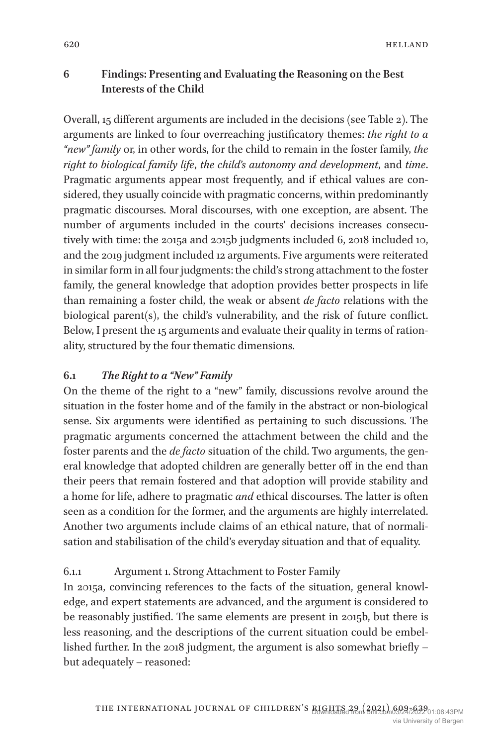# **6 Findings: Presenting and Evaluating the Reasoning on the Best Interests of the Child**

Overall, 15 different arguments are included in the decisions (see Table 2). The arguments are linked to four overreaching justificatory themes: *the right to a "new" family* or, in other words, for the child to remain in the foster family, *the right to biological family life*, *the child's autonomy and development*, and *time*. Pragmatic arguments appear most frequently, and if ethical values are considered, they usually coincide with pragmatic concerns, within predominantly pragmatic discourses. Moral discourses, with one exception, are absent. The number of arguments included in the courts' decisions increases consecutively with time: the 2015a and 2015b judgments included 6, 2018 included 10, and the 2019 judgment included 12 arguments. Five arguments were reiterated in similar form in all four judgments: the child's strong attachment to the foster family, the general knowledge that adoption provides better prospects in life than remaining a foster child, the weak or absent *de facto* relations with the biological parent(s), the child's vulnerability, and the risk of future conflict. Below, I present the 15 arguments and evaluate their quality in terms of rationality, structured by the four thematic dimensions.

## **6.1** *The Right to a "New" Family*

On the theme of the right to a "new" family, discussions revolve around the situation in the foster home and of the family in the abstract or non-biological sense. Six arguments were identified as pertaining to such discussions. The pragmatic arguments concerned the attachment between the child and the foster parents and the *de facto* situation of the child. Two arguments, the general knowledge that adopted children are generally better off in the end than their peers that remain fostered and that adoption will provide stability and a home for life, adhere to pragmatic *and* ethical discourses. The latter is often seen as a condition for the former, and the arguments are highly interrelated. Another two arguments include claims of an ethical nature, that of normalisation and stabilisation of the child's everyday situation and that of equality.

# 6.1.1 Argument 1. Strong Attachment to Foster Family

In 2015a, convincing references to the facts of the situation, general knowledge, and expert statements are advanced, and the argument is considered to be reasonably justified. The same elements are present in 2015b, but there is less reasoning, and the descriptions of the current situation could be embellished further. In the 2018 judgment, the argument is also somewhat briefly – but adequately – reasoned: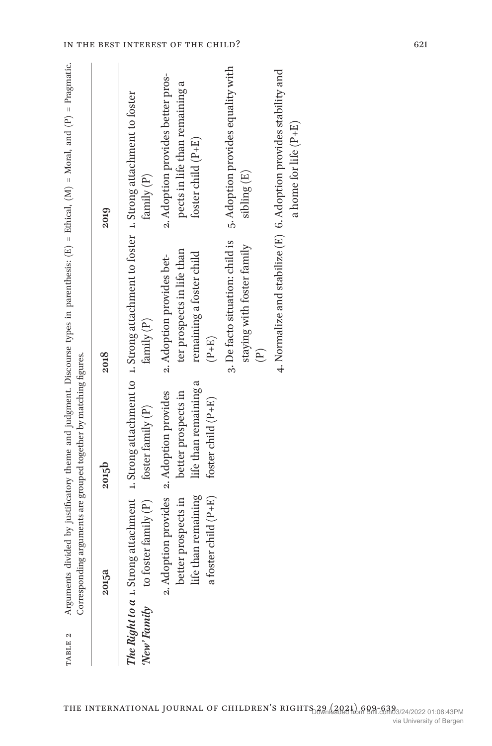| <b>PABLE 2</b> |                                                                    | Corresponding arguments are grouped together by matching figures.                                               |                                                                                                                                           | Arguments divided by justificatory theme and judgment. Discourse types in parenthesis: (E) = Ethical, (M) = Moral, and (P) = Pragmatic. |
|----------------|--------------------------------------------------------------------|-----------------------------------------------------------------------------------------------------------------|-------------------------------------------------------------------------------------------------------------------------------------------|-----------------------------------------------------------------------------------------------------------------------------------------|
|                | 2015a                                                              | 2015b                                                                                                           | 2018                                                                                                                                      | 2019                                                                                                                                    |
|                | New Family to foster family $(P)$ foster family $(P)$              |                                                                                                                 | The Right to a 1. Strong attachment 1. Strong attachment to 1. Strong attachment to foster 1. Strong attachment to foster<br>family $(P)$ | family (P)                                                                                                                              |
|                | life than remaining<br>a foster child (P+E)<br>better prospects in | life than remaining a<br>2. Adoption provides 2. Adoption provides<br>better prospects in<br>foster child (P+E) | ter prospects in life than<br>remaining a foster child<br>2. Adoption provides bet-<br>$(P+E)$                                            | 2. Adoption provides better pros-<br>pects in life than remaining a<br>foster child $(P+E)$                                             |
|                |                                                                    |                                                                                                                 | 3. De facto situation: child is<br>staying with foster family<br>$\widehat{E}$                                                            | 5. Adoption provides equality with<br>sibling (E)                                                                                       |
|                |                                                                    |                                                                                                                 |                                                                                                                                           | 4. Normalize and stabilize (E) 6. Adoption provides stability and                                                                       |

a home for life (P+E)

a home for life  $(P+E)$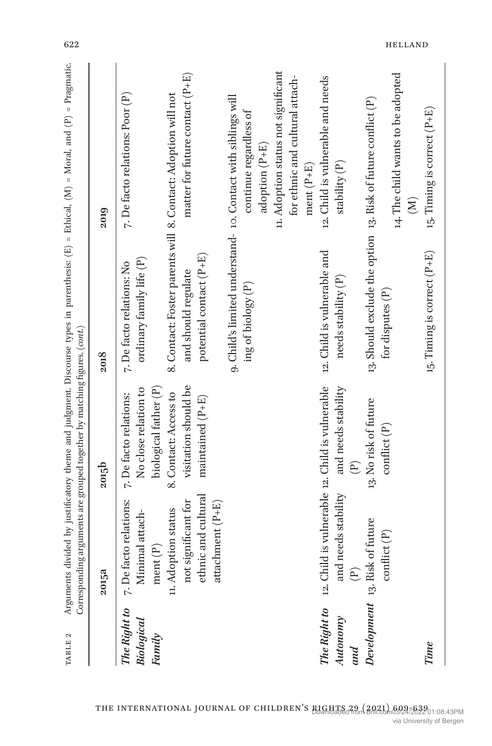| TABLE 2                                     |                                                                                                               | Corresponding arguments are grouped together by matching figures. (cont.) |                                                                                                                 | Arguments divided by justificatory theme and judgment. Discourse types in parenthesis: $(E) =$ Ethical, $(N) =$ Moral, and $(P) =$ Pragmatic. |
|---------------------------------------------|---------------------------------------------------------------------------------------------------------------|---------------------------------------------------------------------------|-----------------------------------------------------------------------------------------------------------------|-----------------------------------------------------------------------------------------------------------------------------------------------|
|                                             | 2015a                                                                                                         | 2015b                                                                     | 2018                                                                                                            | 2019                                                                                                                                          |
| The Right to<br><b>Biological</b><br>Family | 7. De facto relations:<br>Minimal attach-<br>ment(P)                                                          | biological father (P)<br>No close relation to<br>7. De facto relations:   | ordinary family life $(P)$<br>7. De facto relations: No                                                         | 7. De facto relations: Poor (P)                                                                                                               |
|                                             | ethnic and cultural<br>not significant for<br>attachment (P+E)<br>u. Adoption status                          | visitation should be<br>8. Contact: Access to<br>maintained (P+E)         | 8. Contact: Foster parents will 8. Contact: Adoption will not<br>potential contact (P+E)<br>and should regulate | matter for future contact $(P+E)$                                                                                                             |
|                                             |                                                                                                               |                                                                           | 9. Child's limited understand- 10. Contact with siblings will<br>ing of biology (P)                             | continue regardless of<br>adoption (P+E)                                                                                                      |
|                                             |                                                                                                               |                                                                           |                                                                                                                 | 11. Adoption status not significant<br>for ethnic and cultural attach-<br>ment $(P+E)$                                                        |
| Autonomy<br>and                             | The Right to 12. Child is vulnerable 12. Child is vulnerable<br>and needs stability<br>$\widehat{\mathbb{P}}$ | and needs stability<br>$\widehat{\mathbb{P}}$                             | 12. Child is vulnerable and<br>needs stability $(P)$                                                            | 12. Child is vulnerable and needs<br>stability $(P)$                                                                                          |
|                                             | Development 13. Risk of future<br>$\mathrm{conflict}\left(\mathbf{P}\right)$                                  | 13. No risk of future<br>$\text{conflict}$ $(P)$                          | 13. Should exclude the option 13. Risk of future conflict (P)<br>for disputes (P)                               | 14. The child wants to be adopted<br>$(\mathbb{N})$                                                                                           |
| Time                                        |                                                                                                               |                                                                           | 15. Timing is correct (P+E)                                                                                     | 15. Timing is correct (P+E)                                                                                                                   |

622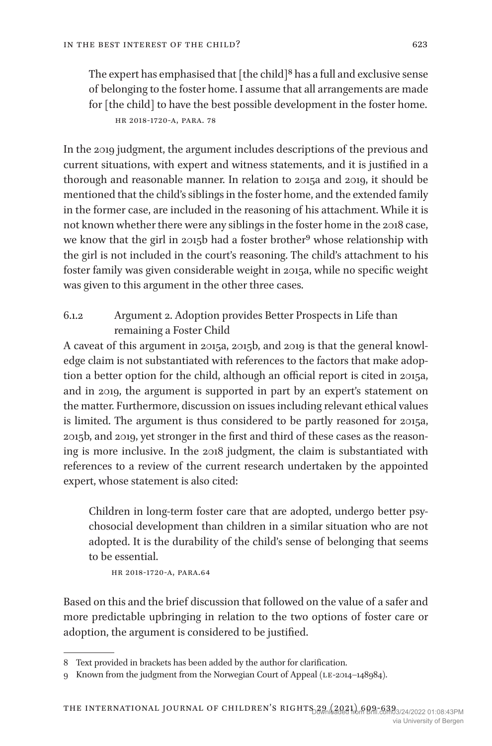The expert has emphasised that  $[$ the child $]$ <sup>8</sup> has a full and exclusive sense of belonging to the foster home. I assume that all arrangements are made for [the child] to have the best possible development in the foster home. hr 2018-1720-a, para. 78

In the 2019 judgment, the argument includes descriptions of the previous and current situations, with expert and witness statements, and it is justified in a thorough and reasonable manner. In relation to 2015a and 2019, it should be mentioned that the child's siblings in the foster home, and the extended family in the former case, are included in the reasoning of his attachment. While it is not known whether there were any siblings in the foster home in the 2018 case, we know that the girl in 2015b had a foster brother<sup>9</sup> whose relationship with the girl is not included in the court's reasoning. The child's attachment to his foster family was given considerable weight in 2015a, while no specific weight was given to this argument in the other three cases.

# 6.1.2 Argument 2. Adoption provides Better Prospects in Life than remaining a Foster Child

A caveat of this argument in 2015a, 2015b, and 2019 is that the general knowledge claim is not substantiated with references to the factors that make adoption a better option for the child, although an official report is cited in 2015a, and in 2019, the argument is supported in part by an expert's statement on the matter. Furthermore, discussion on issues including relevant ethical values is limited. The argument is thus considered to be partly reasoned for 2015a, 2015b, and 2019, yet stronger in the first and third of these cases as the reasoning is more inclusive. In the 2018 judgment, the claim is substantiated with references to a review of the current research undertaken by the appointed expert, whose statement is also cited:

Children in long-term foster care that are adopted, undergo better psychosocial development than children in a similar situation who are not adopted. It is the durability of the child's sense of belonging that seems to be essential.

hr 2018-1720-a, para.64

Based on this and the brief discussion that followed on the value of a safer and more predictable upbringing in relation to the two options of foster care or adoption, the argument is considered to be justified.

<sup>8</sup> Text provided in brackets has been added by the author for clarification.

<sup>9</sup> Known from the judgment from the Norwegian Court of Appeal (LE-2014–148984).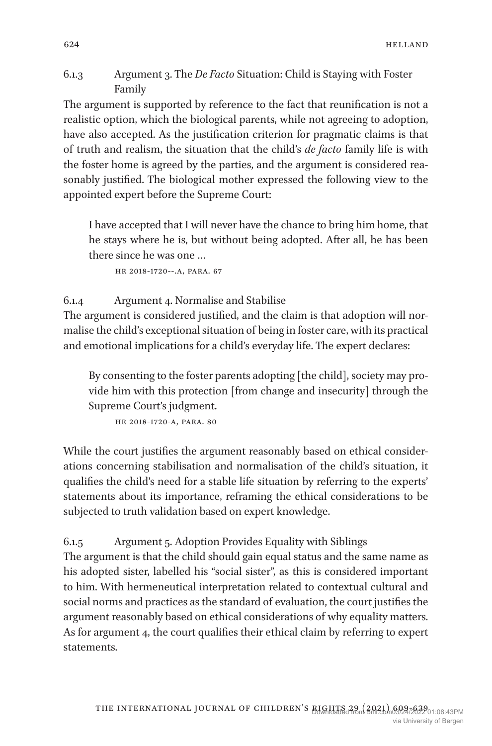6.1.3 Argument 3. The *De Facto* Situation: Child is Staying with Foster Family

The argument is supported by reference to the fact that reunification is not a realistic option, which the biological parents, while not agreeing to adoption, have also accepted. As the justification criterion for pragmatic claims is that of truth and realism, the situation that the child's *de facto* family life is with the foster home is agreed by the parties, and the argument is considered reasonably justified. The biological mother expressed the following view to the appointed expert before the Supreme Court:

I have accepted that I will never have the chance to bring him home, that he stays where he is, but without being adopted. After all, he has been there since he was one …

hr 2018-1720--.a, para. 67

6.1.4 Argument 4. Normalise and Stabilise

The argument is considered justified, and the claim is that adoption will normalise the child's exceptional situation of being in foster care, with its practical and emotional implications for a child's everyday life. The expert declares:

By consenting to the foster parents adopting [the child], society may provide him with this protection [from change and insecurity] through the Supreme Court's judgment.

hr 2018-1720-a, para. 80

While the court justifies the argument reasonably based on ethical considerations concerning stabilisation and normalisation of the child's situation, it qualifies the child's need for a stable life situation by referring to the experts' statements about its importance, reframing the ethical considerations to be subjected to truth validation based on expert knowledge.

6.1.5 Argument 5. Adoption Provides Equality with Siblings

The argument is that the child should gain equal status and the same name as his adopted sister, labelled his "social sister", as this is considered important to him. With hermeneutical interpretation related to contextual cultural and social norms and practices as the standard of evaluation, the court justifies the argument reasonably based on ethical considerations of why equality matters. As for argument 4, the court qualifies their ethical claim by referring to expert statements.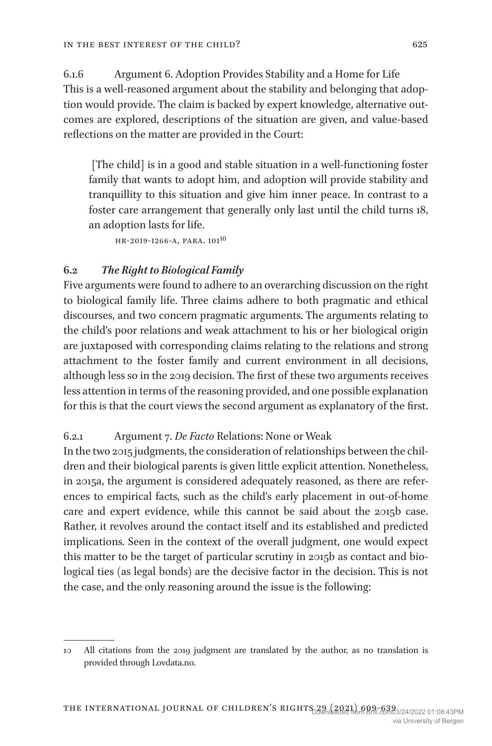6.1.6 Argument 6. Adoption Provides Stability and a Home for Life This is a well-reasoned argument about the stability and belonging that adoption would provide. The claim is backed by expert knowledge, alternative outcomes are explored, descriptions of the situation are given, and value-based reflections on the matter are provided in the Court:

 [The child] is in a good and stable situation in a well-functioning foster family that wants to adopt him, and adoption will provide stability and tranquillity to this situation and give him inner peace. In contrast to a foster care arrangement that generally only last until the child turns 18, an adoption lasts for life.

hr-2019-1266-a, para. 10110

## **6.2** *The Right to Biological Family*

Five arguments were found to adhere to an overarching discussion on the right to biological family life. Three claims adhere to both pragmatic and ethical discourses, and two concern pragmatic arguments. The arguments relating to the child's poor relations and weak attachment to his or her biological origin are juxtaposed with corresponding claims relating to the relations and strong attachment to the foster family and current environment in all decisions, although less so in the 2019 decision. The first of these two arguments receives less attention in terms of the reasoning provided, and one possible explanation for this is that the court views the second argument as explanatory of the first.

## 6.2.1 Argument 7. *De Facto* Relations: None or Weak

In the two 2015 judgments, the consideration of relationships between the children and their biological parents is given little explicit attention. Nonetheless, in 2015a, the argument is considered adequately reasoned, as there are references to empirical facts, such as the child's early placement in out-of-home care and expert evidence, while this cannot be said about the 2015b case. Rather, it revolves around the contact itself and its established and predicted implications. Seen in the context of the overall judgment, one would expect this matter to be the target of particular scrutiny in 2015b as contact and biological ties (as legal bonds) are the decisive factor in the decision. This is not the case, and the only reasoning around the issue is the following:

<sup>10</sup> All citations from the 2019 judgment are translated by the author, as no translation is provided through Lovdata.no.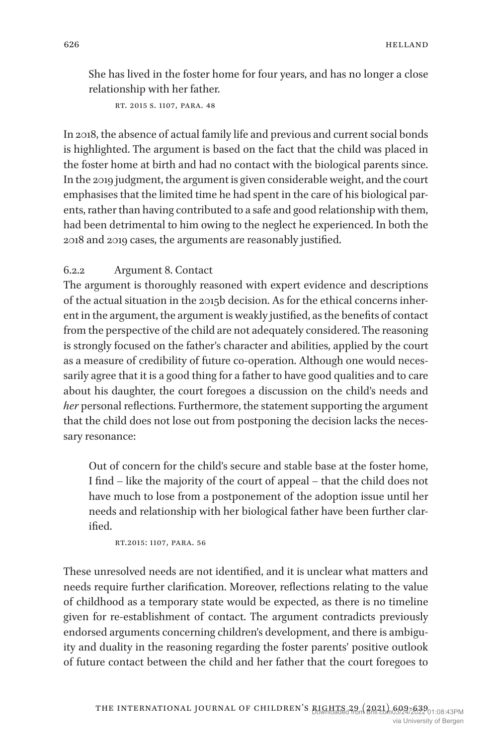She has lived in the foster home for four years, and has no longer a close relationship with her father.

rt. 2015 s. 1107, para. 48

In 2018, the absence of actual family life and previous and current social bonds is highlighted. The argument is based on the fact that the child was placed in the foster home at birth and had no contact with the biological parents since. In the 2019 judgment, the argument is given considerable weight, and the court emphasises that the limited time he had spent in the care of his biological parents, rather than having contributed to a safe and good relationship with them, had been detrimental to him owing to the neglect he experienced. In both the 2018 and 2019 cases, the arguments are reasonably justified.

## 6.2.2 Argument 8. Contact

The argument is thoroughly reasoned with expert evidence and descriptions of the actual situation in the 2015b decision. As for the ethical concerns inherent in the argument, the argument is weakly justified, as the benefits of contact from the perspective of the child are not adequately considered. The reasoning is strongly focused on the father's character and abilities, applied by the court as a measure of credibility of future co-operation. Although one would necessarily agree that it is a good thing for a father to have good qualities and to care about his daughter, the court foregoes a discussion on the child's needs and *her* personal reflections. Furthermore, the statement supporting the argument that the child does not lose out from postponing the decision lacks the necessary resonance:

Out of concern for the child's secure and stable base at the foster home, I find – like the majority of the court of appeal – that the child does not have much to lose from a postponement of the adoption issue until her needs and relationship with her biological father have been further clarified.

rt.2015: 1107, para. 56

These unresolved needs are not identified, and it is unclear what matters and needs require further clarification. Moreover, reflections relating to the value of childhood as a temporary state would be expected, as there is no timeline given for re-establishment of contact. The argument contradicts previously endorsed arguments concerning children's development, and there is ambiguity and duality in the reasoning regarding the foster parents' positive outlook of future contact between the child and her father that the court foregoes to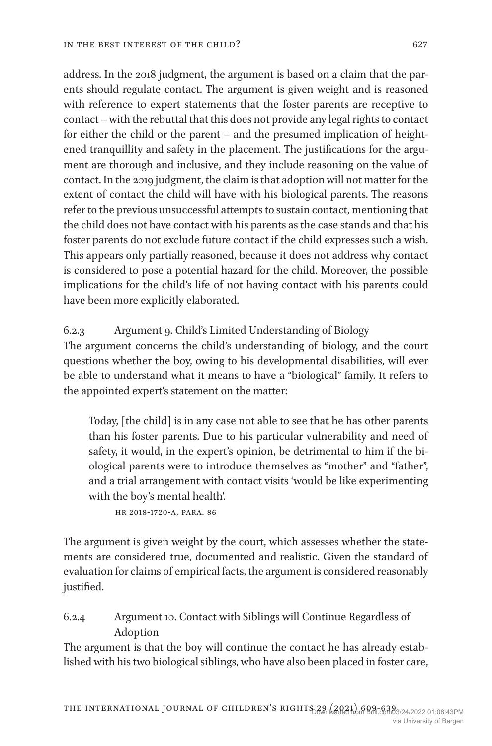address. In the 2018 judgment, the argument is based on a claim that the parents should regulate contact. The argument is given weight and is reasoned with reference to expert statements that the foster parents are receptive to contact – with the rebuttal that this does not provide any legal rights to contact for either the child or the parent – and the presumed implication of heightened tranquillity and safety in the placement. The justifications for the argument are thorough and inclusive, and they include reasoning on the value of contact. In the 2019 judgment, the claim is that adoption will not matter for the extent of contact the child will have with his biological parents. The reasons refer to the previous unsuccessful attempts to sustain contact, mentioning that the child does not have contact with his parents as the case stands and that his foster parents do not exclude future contact if the child expresses such a wish. This appears only partially reasoned, because it does not address why contact is considered to pose a potential hazard for the child. Moreover, the possible implications for the child's life of not having contact with his parents could have been more explicitly elaborated.

6.2.3 Argument 9. Child's Limited Understanding of Biology

The argument concerns the child's understanding of biology, and the court questions whether the boy, owing to his developmental disabilities, will ever be able to understand what it means to have a "biological" family. It refers to the appointed expert's statement on the matter:

Today, [the child] is in any case not able to see that he has other parents than his foster parents. Due to his particular vulnerability and need of safety, it would, in the expert's opinion, be detrimental to him if the biological parents were to introduce themselves as "mother" and "father", and a trial arrangement with contact visits 'would be like experimenting with the boy's mental health'.

hr 2018-1720-a, para. 86

The argument is given weight by the court, which assesses whether the statements are considered true, documented and realistic. Given the standard of evaluation for claims of empirical facts, the argument is considered reasonably justified.

# 6.2.4 Argument 10. Contact with Siblings will Continue Regardless of Adoption

The argument is that the boy will continue the contact he has already established with his two biological siblings, who have also been placed in foster care,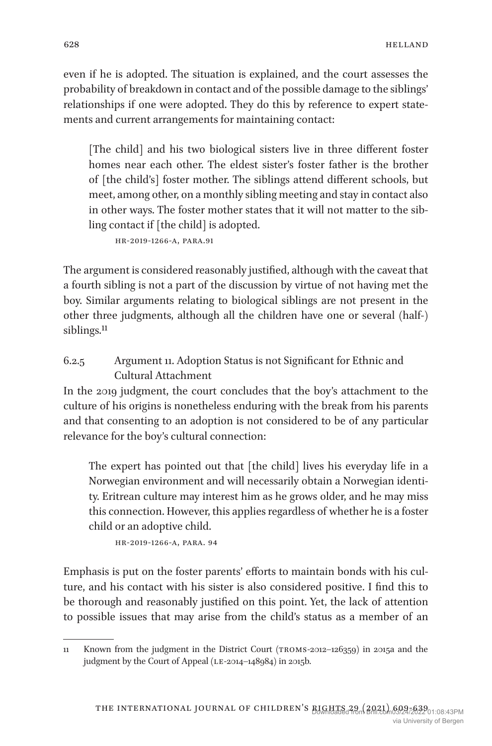even if he is adopted. The situation is explained, and the court assesses the probability of breakdown in contact and of the possible damage to the siblings' relationships if one were adopted. They do this by reference to expert statements and current arrangements for maintaining contact:

[The child] and his two biological sisters live in three different foster homes near each other. The eldest sister's foster father is the brother of [the child's] foster mother. The siblings attend different schools, but meet, among other, on a monthly sibling meeting and stay in contact also in other ways. The foster mother states that it will not matter to the sibling contact if [the child] is adopted.

hr-2019-1266-a, para.91

The argument is considered reasonably justified, although with the caveat that a fourth sibling is not a part of the discussion by virtue of not having met the boy. Similar arguments relating to biological siblings are not present in the other three judgments, although all the children have one or several (half-) siblings.<sup>11</sup>

# 6.2.5 Argument 11. Adoption Status is not Significant for Ethnic and Cultural Attachment

In the 2019 judgment, the court concludes that the boy's attachment to the culture of his origins is nonetheless enduring with the break from his parents and that consenting to an adoption is not considered to be of any particular relevance for the boy's cultural connection:

The expert has pointed out that [the child] lives his everyday life in a Norwegian environment and will necessarily obtain a Norwegian identity. Eritrean culture may interest him as he grows older, and he may miss this connection. However, this applies regardless of whether he is a foster child or an adoptive child.

hr-2019-1266-a, para. 94

Emphasis is put on the foster parents' efforts to maintain bonds with his culture, and his contact with his sister is also considered positive. I find this to be thorough and reasonably justified on this point. Yet, the lack of attention to possible issues that may arise from the child's status as a member of an

<sup>11</sup> Known from the judgment in the District Court (troms-2012–126359) in 2015a and the judgment by the Court of Appeal (LE-2014-148984) in 2015b.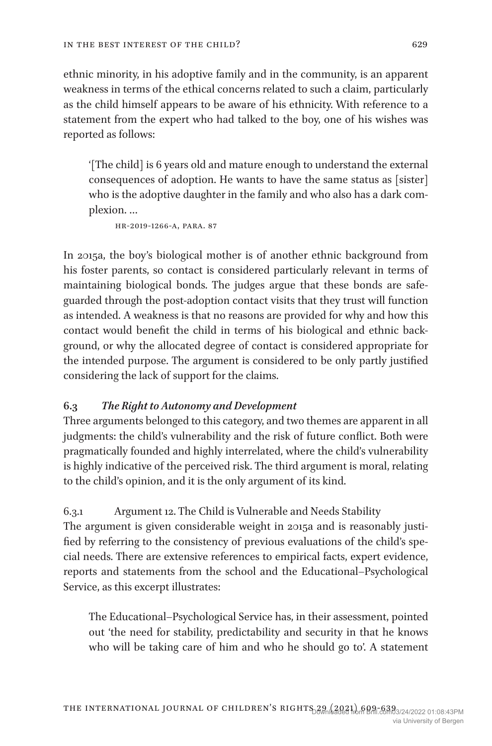ethnic minority, in his adoptive family and in the community, is an apparent weakness in terms of the ethical concerns related to such a claim, particularly as the child himself appears to be aware of his ethnicity. With reference to a statement from the expert who had talked to the boy, one of his wishes was reported as follows:

'[The child] is 6 years old and mature enough to understand the external consequences of adoption. He wants to have the same status as [sister] who is the adoptive daughter in the family and who also has a dark complexion. …

hr-2019-1266-a, para. 87

In 2015a, the boy's biological mother is of another ethnic background from his foster parents, so contact is considered particularly relevant in terms of maintaining biological bonds. The judges argue that these bonds are safeguarded through the post-adoption contact visits that they trust will function as intended. A weakness is that no reasons are provided for why and how this contact would benefit the child in terms of his biological and ethnic background, or why the allocated degree of contact is considered appropriate for the intended purpose. The argument is considered to be only partly justified considering the lack of support for the claims.

## **6.3** *The Right to Autonomy and Development*

Three arguments belonged to this category, and two themes are apparent in all judgments: the child's vulnerability and the risk of future conflict. Both were pragmatically founded and highly interrelated, where the child's vulnerability is highly indicative of the perceived risk. The third argument is moral, relating to the child's opinion, and it is the only argument of its kind.

#### 6.3.1 Argument 12. The Child is Vulnerable and Needs Stability

The argument is given considerable weight in 2015a and is reasonably justified by referring to the consistency of previous evaluations of the child's special needs. There are extensive references to empirical facts, expert evidence, reports and statements from the school and the Educational–Psychological Service, as this excerpt illustrates:

The Educational–Psychological Service has, in their assessment, pointed out 'the need for stability, predictability and security in that he knows who will be taking care of him and who he should go to'. A statement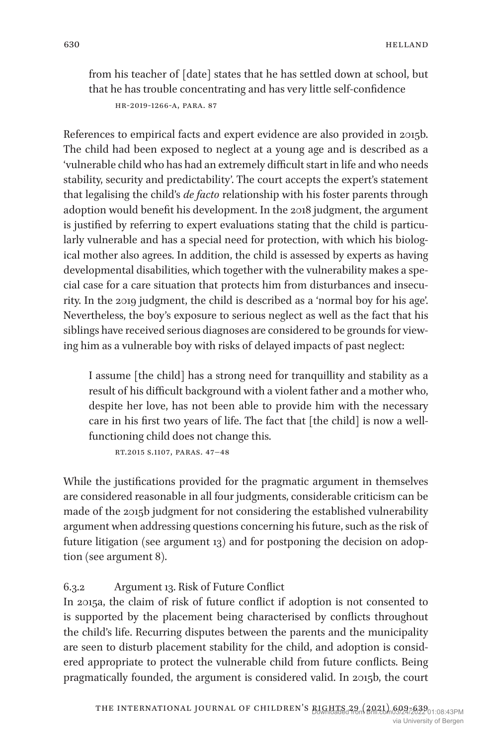from his teacher of [date] states that he has settled down at school, but that he has trouble concentrating and has very little self-confidence

```
hr-2019-1266-a, para. 87
```
References to empirical facts and expert evidence are also provided in 2015b. The child had been exposed to neglect at a young age and is described as a 'vulnerable child who has had an extremely difficult start in life and who needs stability, security and predictability'. The court accepts the expert's statement that legalising the child's *de facto* relationship with his foster parents through adoption would benefit his development. In the 2018 judgment, the argument is justified by referring to expert evaluations stating that the child is particularly vulnerable and has a special need for protection, with which his biological mother also agrees. In addition, the child is assessed by experts as having developmental disabilities, which together with the vulnerability makes a special case for a care situation that protects him from disturbances and insecurity. In the 2019 judgment, the child is described as a 'normal boy for his age'. Nevertheless, the boy's exposure to serious neglect as well as the fact that his siblings have received serious diagnoses are considered to be grounds for viewing him as a vulnerable boy with risks of delayed impacts of past neglect:

I assume [the child] has a strong need for tranquillity and stability as a result of his difficult background with a violent father and a mother who, despite her love, has not been able to provide him with the necessary care in his first two years of life. The fact that [the child] is now a wellfunctioning child does not change this.

rt.2015 s.1107, paras. 47–48

While the justifications provided for the pragmatic argument in themselves are considered reasonable in all four judgments, considerable criticism can be made of the 2015b judgment for not considering the established vulnerability argument when addressing questions concerning his future, such as the risk of future litigation (see argument 13) and for postponing the decision on adoption (see argument 8).

6.3.2 Argument 13. Risk of Future Conflict

In 2015a, the claim of risk of future conflict if adoption is not consented to is supported by the placement being characterised by conflicts throughout the child's life. Recurring disputes between the parents and the municipality are seen to disturb placement stability for the child, and adoption is considered appropriate to protect the vulnerable child from future conflicts. Being pragmatically founded, the argument is considered valid. In 2015b, the court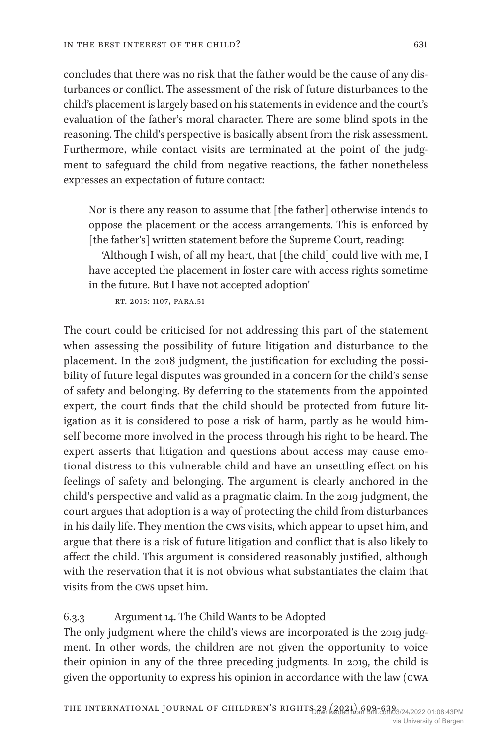concludes that there was no risk that the father would be the cause of any disturbances or conflict. The assessment of the risk of future disturbances to the child's placement is largely based on his statements in evidence and the court's evaluation of the father's moral character. There are some blind spots in the reasoning. The child's perspective is basically absent from the risk assessment. Furthermore, while contact visits are terminated at the point of the judgment to safeguard the child from negative reactions, the father nonetheless expresses an expectation of future contact:

Nor is there any reason to assume that [the father] otherwise intends to oppose the placement or the access arrangements. This is enforced by [the father's] written statement before the Supreme Court, reading:

'Although I wish, of all my heart, that [the child] could live with me, I have accepted the placement in foster care with access rights sometime in the future. But I have not accepted adoption'

rt. 2015: 1107, para.51

The court could be criticised for not addressing this part of the statement when assessing the possibility of future litigation and disturbance to the placement. In the 2018 judgment, the justification for excluding the possibility of future legal disputes was grounded in a concern for the child's sense of safety and belonging. By deferring to the statements from the appointed expert, the court finds that the child should be protected from future litigation as it is considered to pose a risk of harm, partly as he would himself become more involved in the process through his right to be heard. The expert asserts that litigation and questions about access may cause emotional distress to this vulnerable child and have an unsettling effect on his feelings of safety and belonging. The argument is clearly anchored in the child's perspective and valid as a pragmatic claim. In the 2019 judgment, the court argues that adoption is a way of protecting the child from disturbances in his daily life. They mention the cws visits, which appear to upset him, and argue that there is a risk of future litigation and conflict that is also likely to affect the child. This argument is considered reasonably justified, although with the reservation that it is not obvious what substantiates the claim that visits from the cws upset him.

#### 6.3.3 Argument 14. The Child Wants to be Adopted

The only judgment where the child's views are incorporated is the 2019 judgment. In other words, the children are not given the opportunity to voice their opinion in any of the three preceding judgments. In 2019, the child is given the opportunity to express his opinion in accordance with the law (cwa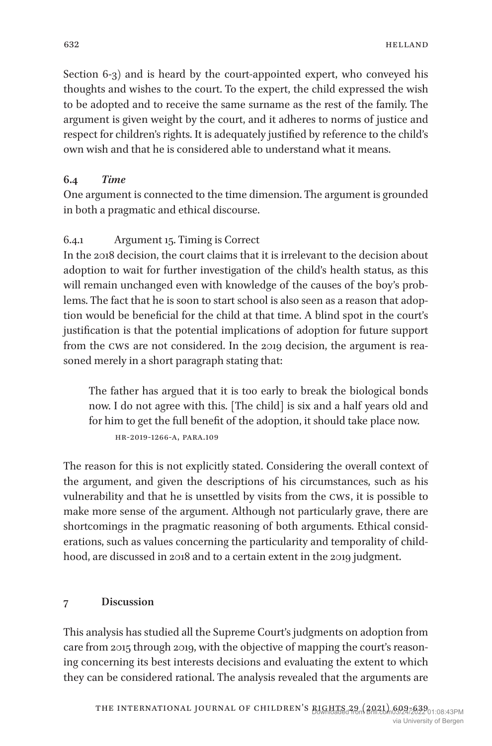Section 6-3) and is heard by the court-appointed expert, who conveyed his thoughts and wishes to the court. To the expert, the child expressed the wish to be adopted and to receive the same surname as the rest of the family. The argument is given weight by the court, and it adheres to norms of justice and respect for children's rights. It is adequately justified by reference to the child's own wish and that he is considered able to understand what it means.

## **6.4** *Time*

One argument is connected to the time dimension. The argument is grounded in both a pragmatic and ethical discourse.

## 6.4.1 Argument 15. Timing is Correct

In the 2018 decision, the court claims that it is irrelevant to the decision about adoption to wait for further investigation of the child's health status, as this will remain unchanged even with knowledge of the causes of the boy's problems. The fact that he is soon to start school is also seen as a reason that adoption would be beneficial for the child at that time. A blind spot in the court's justification is that the potential implications of adoption for future support from the cws are not considered. In the 2019 decision, the argument is reasoned merely in a short paragraph stating that:

The father has argued that it is too early to break the biological bonds now. I do not agree with this. [The child] is six and a half years old and for him to get the full benefit of the adoption, it should take place now. hr-2019-1266-a, para.109

The reason for this is not explicitly stated. Considering the overall context of the argument, and given the descriptions of his circumstances, such as his vulnerability and that he is unsettled by visits from the cws, it is possible to make more sense of the argument. Although not particularly grave, there are shortcomings in the pragmatic reasoning of both arguments. Ethical considerations, such as values concerning the particularity and temporality of childhood, are discussed in 2018 and to a certain extent in the 2019 judgment.

## **7 Discussion**

This analysis has studied all the Supreme Court's judgments on adoption from care from 2015 through 2019, with the objective of mapping the court's reasoning concerning its best interests decisions and evaluating the extent to which they can be considered rational. The analysis revealed that the arguments are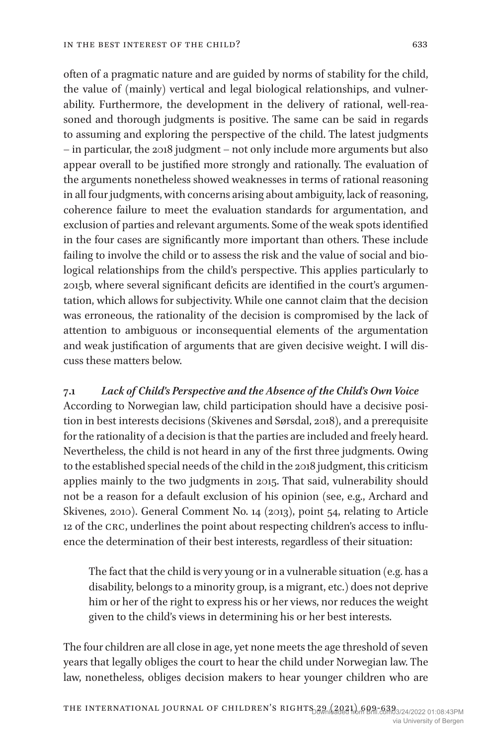often of a pragmatic nature and are guided by norms of stability for the child, the value of (mainly) vertical and legal biological relationships, and vulnerability. Furthermore, the development in the delivery of rational, well-reasoned and thorough judgments is positive. The same can be said in regards to assuming and exploring the perspective of the child. The latest judgments – in particular, the 2018 judgment – not only include more arguments but also appear overall to be justified more strongly and rationally. The evaluation of the arguments nonetheless showed weaknesses in terms of rational reasoning in all four judgments, with concerns arising about ambiguity, lack of reasoning, coherence failure to meet the evaluation standards for argumentation, and exclusion of parties and relevant arguments. Some of the weak spots identified in the four cases are significantly more important than others. These include failing to involve the child or to assess the risk and the value of social and biological relationships from the child's perspective. This applies particularly to 2015b, where several significant deficits are identified in the court's argumentation, which allows for subjectivity. While one cannot claim that the decision was erroneous, the rationality of the decision is compromised by the lack of attention to ambiguous or inconsequential elements of the argumentation and weak justification of arguments that are given decisive weight. I will discuss these matters below.

## **7.1** *Lack of Child's Perspective and the Absence of the Child's Own Voice*

According to Norwegian law, child participation should have a decisive position in best interests decisions (Skivenes and Sørsdal, 2018), and a prerequisite for the rationality of a decision is that the parties are included and freely heard. Nevertheless, the child is not heard in any of the first three judgments. Owing to the established special needs of the child in the 2018 judgment, this criticism applies mainly to the two judgments in 2015. That said, vulnerability should not be a reason for a default exclusion of his opinion (see, e.g., Archard and Skivenes, 2010). General Comment No. 14 (2013), point 54, relating to Article 12 of the crc, underlines the point about respecting children's access to influence the determination of their best interests, regardless of their situation:

The fact that the child is very young or in a vulnerable situation (e.g. has a disability, belongs to a minority group, is a migrant, etc.) does not deprive him or her of the right to express his or her views, nor reduces the weight given to the child's views in determining his or her best interests.

The four children are all close in age, yet none meets the age threshold of seven years that legally obliges the court to hear the child under Norwegian law. The law, nonetheless, obliges decision makers to hear younger children who are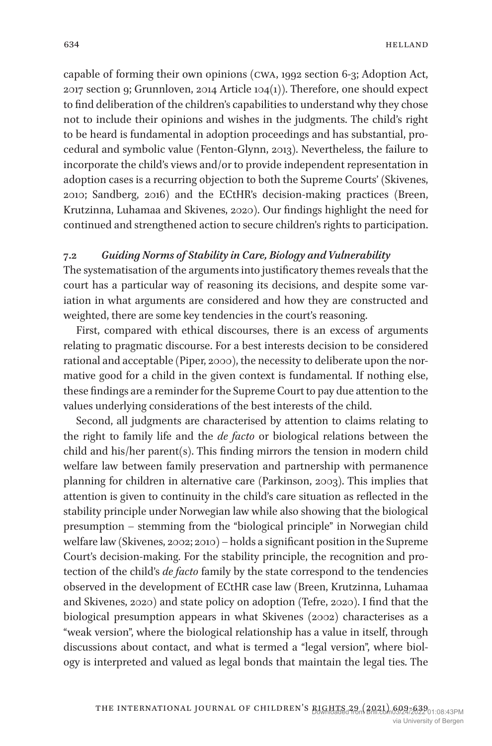capable of forming their own opinions (cwa, 1992 section 6-3; Adoption Act, 2017 section 9; Grunnloven, 2014 Article 104(1)). Therefore, one should expect to find deliberation of the children's capabilities to understand why they chose not to include their opinions and wishes in the judgments. The child's right to be heard is fundamental in adoption proceedings and has substantial, procedural and symbolic value (Fenton-Glynn, 2013). Nevertheless, the failure to incorporate the child's views and/or to provide independent representation in adoption cases is a recurring objection to both the Supreme Courts' (Skivenes, 2010; Sandberg, 2016) and the ECtHR's decision-making practices (Breen, Krutzinna, Luhamaa and Skivenes, 2020). Our findings highlight the need for continued and strengthened action to secure children's rights to participation.

## **7.2** *Guiding Norms of Stability in Care, Biology and Vulnerability*

The systematisation of the arguments into justificatory themes reveals that the court has a particular way of reasoning its decisions, and despite some variation in what arguments are considered and how they are constructed and weighted, there are some key tendencies in the court's reasoning.

First, compared with ethical discourses, there is an excess of arguments relating to pragmatic discourse. For a best interests decision to be considered rational and acceptable (Piper, 2000), the necessity to deliberate upon the normative good for a child in the given context is fundamental. If nothing else, these findings are a reminder for the Supreme Court to pay due attention to the values underlying considerations of the best interests of the child.

Second, all judgments are characterised by attention to claims relating to the right to family life and the *de facto* or biological relations between the child and his/her parent(s). This finding mirrors the tension in modern child welfare law between family preservation and partnership with permanence planning for children in alternative care (Parkinson, 2003). This implies that attention is given to continuity in the child's care situation as reflected in the stability principle under Norwegian law while also showing that the biological presumption – stemming from the "biological principle" in Norwegian child welfare law (Skivenes, 2002; 2010) – holds a significant position in the Supreme Court's decision-making. For the stability principle, the recognition and protection of the child's *de facto* family by the state correspond to the tendencies observed in the development of ECtHR case law (Breen, Krutzinna, Luhamaa and Skivenes, 2020) and state policy on adoption (Tefre, 2020). I find that the biological presumption appears in what Skivenes (2002) characterises as a "weak version", where the biological relationship has a value in itself, through discussions about contact, and what is termed a "legal version", where biology is interpreted and valued as legal bonds that maintain the legal ties. The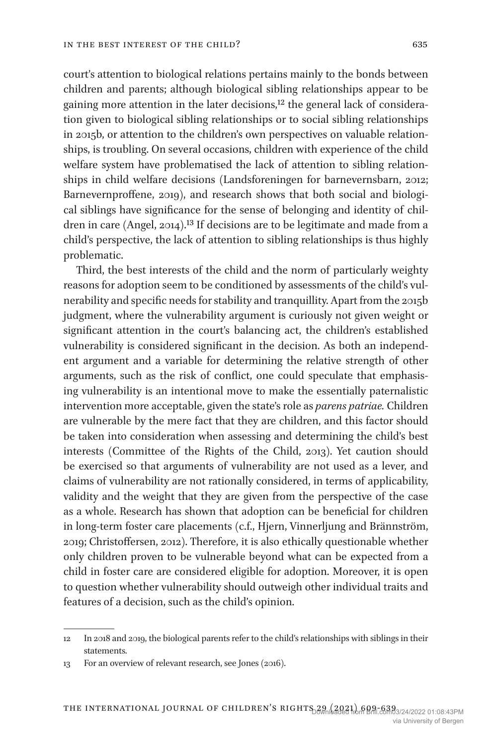court's attention to biological relations pertains mainly to the bonds between children and parents; although biological sibling relationships appear to be gaining more attention in the later decisions,<sup>12</sup> the general lack of consideration given to biological sibling relationships or to social sibling relationships in 2015b, or attention to the children's own perspectives on valuable relationships, is troubling. On several occasions, children with experience of the child welfare system have problematised the lack of attention to sibling relationships in child welfare decisions (Landsforeningen for barnevernsbarn, 2012; Barnevernproffene, 2019), and research shows that both social and biological siblings have significance for the sense of belonging and identity of children in care (Angel, 2014).13 If decisions are to be legitimate and made from a child's perspective, the lack of attention to sibling relationships is thus highly problematic.

Third, the best interests of the child and the norm of particularly weighty reasons for adoption seem to be conditioned by assessments of the child's vulnerability and specific needs for stability and tranquillity. Apart from the 2015b judgment, where the vulnerability argument is curiously not given weight or significant attention in the court's balancing act, the children's established vulnerability is considered significant in the decision. As both an independent argument and a variable for determining the relative strength of other arguments, such as the risk of conflict, one could speculate that emphasising vulnerability is an intentional move to make the essentially paternalistic intervention more acceptable, given the state's role as *parens patriae.* Children are vulnerable by the mere fact that they are children, and this factor should be taken into consideration when assessing and determining the child's best interests (Committee of the Rights of the Child, 2013). Yet caution should be exercised so that arguments of vulnerability are not used as a lever, and claims of vulnerability are not rationally considered, in terms of applicability, validity and the weight that they are given from the perspective of the case as a whole. Research has shown that adoption can be beneficial for children in long-term foster care placements (c.f., Hjern, Vinnerljung and Brännström, 2019; Christoffersen, 2012). Therefore, it is also ethically questionable whether only children proven to be vulnerable beyond what can be expected from a child in foster care are considered eligible for adoption. Moreover, it is open to question whether vulnerability should outweigh other individual traits and features of a decision, such as the child's opinion.

<sup>12</sup> In 2018 and 2019, the biological parents refer to the child's relationships with siblings in their statements.

<sup>13</sup> For an overview of relevant research, see Jones (2016).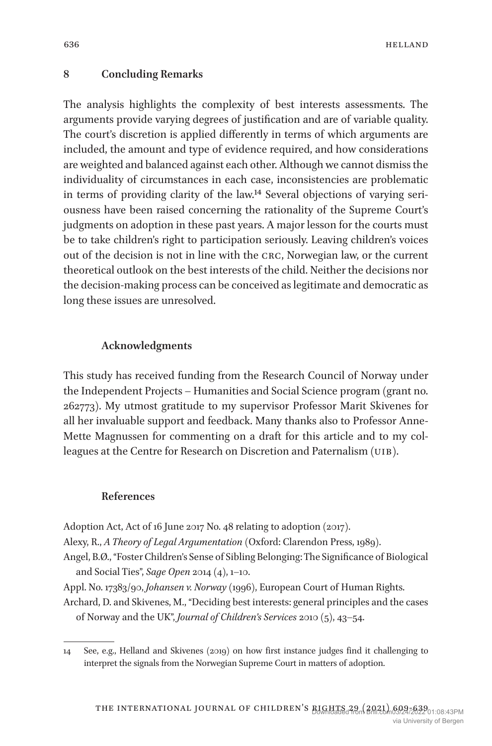#### **8 Concluding Remarks**

The analysis highlights the complexity of best interests assessments. The arguments provide varying degrees of justification and are of variable quality. The court's discretion is applied differently in terms of which arguments are included, the amount and type of evidence required, and how considerations are weighted and balanced against each other. Although we cannot dismiss the individuality of circumstances in each case, inconsistencies are problematic in terms of providing clarity of the law.14 Several objections of varying seriousness have been raised concerning the rationality of the Supreme Court's judgments on adoption in these past years. A major lesson for the courts must be to take children's right to participation seriously. Leaving children's voices out of the decision is not in line with the crc, Norwegian law, or the current theoretical outlook on the best interests of the child. Neither the decisions nor the decision-making process can be conceived as legitimate and democratic as long these issues are unresolved.

#### **Acknowledgments**

This study has received funding from the Research Council of Norway under the Independent Projects – Humanities and Social Science program (grant no. 262773). My utmost gratitude to my supervisor Professor Marit Skivenes for all her invaluable support and feedback. Many thanks also to Professor Anne-Mette Magnussen for commenting on a draft for this article and to my colleagues at the Centre for Research on Discretion and Paternalism (UiB).

#### **References**

Adoption Act, Act of 16 June 2017 No. 48 relating to adoption (2017).

Alexy, R., *A Theory of Legal Argumentation* (Oxford: Clarendon Press, 1989).

Angel, B.Ø., "Foster Children's Sense of Sibling Belonging: The Significance of Biological and Social Ties", *Sage Open* 2014 (4), 1–10.

Appl. No. 17383/90, *Johansen v. Norway* (1996), European Court of Human Rights.

Archard, D. and Skivenes, M., "Deciding best interests: general principles and the cases of Norway and the UK", *Journal of Children's Services* 2010 (5), 43–54.

<sup>14</sup> See, e.g., Helland and Skivenes (2019) on how first instance judges find it challenging to interpret the signals from the Norwegian Supreme Court in matters of adoption.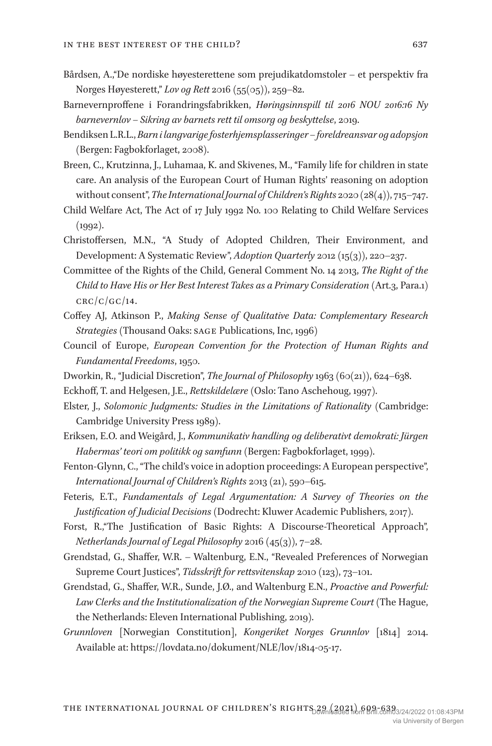- Bårdsen, A.,"De nordiske høyesterettene som prejudikatdomstoler et perspektiv fra Norges Høyesterett," *Lov og Rett* 2016 (55(05)), 259–82.
- Barnevernproffene i Forandringsfabrikken, *Høringsinnspill til 2016 NOU 2016:16 Ny barnevernlov – Sikring av barnets rett til omsorg og beskyttelse*, 2019.
- Bendiksen L.R.L., *Barn i langvarige fosterhjemsplasseringer foreldreansvar og adopsjon* (Bergen: Fagbokforlaget, 2008).
- Breen, C., Krutzinna, J., Luhamaa, K. and Skivenes, M., "Family life for children in state care. An analysis of the European Court of Human Rights' reasoning on adoption without consent", *The International Journal of Children's Rights* 2020 (28(4)), 715–747.
- Child Welfare Act, The Act of 17 July 1992 No. 100 Relating to Child Welfare Services (1992).
- Christoffersen, M.N., "A Study of Adopted Children, Their Environment, and Development: A Systematic Review", *Adoption Quarterly* 2012 (15(3)), 220–237.
- Committee of the Rights of the Child, General Comment No. 14 2013, *The Right of the Child to Have His or Her Best Interest Takes as a Primary Consideration* (Art.3, Para.1)  $CRC/C/GC/14$ .
- Coffey AJ, Atkinson P., *Making Sense of Qualitative Data: Complementary Research Strategies* (Thousand Oaks: SAGE Publications, Inc, 1996)
- Council of Europe, *European Convention for the Protection of Human Rights and Fundamental Freedoms*, 1950.
- Dworkin, R., "Judicial Discretion", *The Journal of Philosophy* 1963 (60(21)), 624–638.
- Eckhoff, T. and Helgesen, J.E., *Rettskildelære* (Oslo: Tano Aschehoug, 1997).
- Elster, J., *Solomonic Judgments: Studies in the Limitations of Rationality* (Cambridge: Cambridge University Press 1989).
- Eriksen, E.O. and Weigård, J., *Kommunikativ handling og deliberativt demokrati: Jürgen Habermas' teori om politikk og samfunn* (Bergen: Fagbokforlaget, 1999).
- Fenton-Glynn, C., "The child's voice in adoption proceedings: A European perspective", *International Journal of Children's Rights* 2013 (21), 590–615.
- Feteris, E.T., *Fundamentals of Legal Argumentation: A Survey of Theories on the Justification of Judicial Decisions* (Dodrecht: Kluwer Academic Publishers, 2017).
- Forst, R.,"The Justification of Basic Rights: A Discourse-Theoretical Approach", *Netherlands Journal of Legal Philosophy* 2016 (45(3)), 7–28.
- Grendstad, G., Shaffer, W.R. Waltenburg, E.N., "Revealed Preferences of Norwegian Supreme Court Justices", *Tidsskrift for rettsvitenskap* 2010 (123), 73–101.
- Grendstad, G., Shaffer, W.R., Sunde, J.Ø., and Waltenburg E.N., *Proactive and Powerful: Law Clerks and the Institutionalization of the Norwegian Supreme Court* (The Hague, the Netherlands: Eleven International Publishing, 2019).
- *Grunnloven* [Norwegian Constitution], *Kongeriket Norges Grunnlov* [1814] 2014. Available at: https://lovdata.no/dokument/NLE/lov/1814-05-17.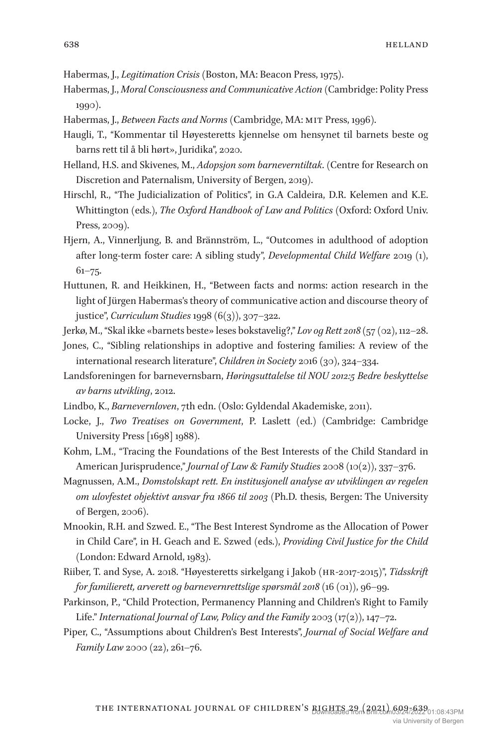Habermas, J., *Legitimation Crisis* (Boston, MA: Beacon Press, 1975).

- Habermas, J., *Moral Consciousness and Communicative Action* (Cambridge: Polity Press 1990).
- Habermas, J., *Between Facts and Norms* (Cambridge, MA: MIT Press, 1996).
- Haugli, T., "Kommentar til Høyesteretts kjennelse om hensynet til barnets beste og barns rett til å bli hørt», Juridika", 2020.
- Helland, H.S. and Skivenes, M., *Adopsjon som barneverntiltak*. (Centre for Research on Discretion and Paternalism, University of Bergen, 2019).
- Hirschl, R., "The Judicialization of Politics", in G.A Caldeira, D.R. Kelemen and K.E. Whittington (eds.), *The Oxford Handbook of Law and Politics* (Oxford: Oxford Univ. Press, 2009).
- Hjern, A., Vinnerljung, B. and Brännström, L., "Outcomes in adulthood of adoption after long-term foster care: A sibling study", *Developmental Child Welfare* 2019 (1),  $61 - 75.$
- Huttunen, R. and Heikkinen, H., "Between facts and norms: action research in the light of Jürgen Habermas's theory of communicative action and discourse theory of justice", *Curriculum Studies* 1998 (6(3)), 307–322.
- Jerkø, M., "Skal ikke «barnets beste» leses bokstavelig?," *Lov og Rett 2018* (57 (02), 112–28.
- Jones, C., "Sibling relationships in adoptive and fostering families: A review of the international research literature", *Children in Society* 2016 (30), 324–334.
- Landsforeningen for barnevernsbarn, *Høringsuttalelse til NOU 2012:5 Bedre beskyttelse av barns utvikling*, 2012.
- Lindbo, K., *Barnevernloven*, 7th edn. (Oslo: Gyldendal Akademiske, 2011).
- Locke, J., *Two Treatises on Government*, P. Laslett (ed.) (Cambridge: Cambridge University Press [1698] 1988).
- Kohm, L.M., "Tracing the Foundations of the Best Interests of the Child Standard in American Jurisprudence," *Journal of Law & Family Studies* 2008 (10(2)), 337–376.
- Magnussen, A.M., *Domstolskapt rett. En institusjonell analyse av utviklingen av regelen om ulovfestet objektivt ansvar fra 1866 til 2003* (Ph.D. thesis, Bergen: The University of Bergen, 2006).
- Mnookin, R.H. and Szwed. E., "The Best Interest Syndrome as the Allocation of Power in Child Care", in H. Geach and E. Szwed (eds.), *Providing Civil Justice for the Child* (London: Edward Arnold, 1983).
- Riiber, T. and Syse, A. 2018. "Høyesteretts sirkelgang i Jakob (hr-2017-2015)", *Tidsskrift for familierett, arverett og barnevernrettslige spørsmål 2018* (16 (01)), 96–99.
- Parkinson, P., "Child Protection, Permanency Planning and Children's Right to Family Life." *International Journal of Law, Policy and the Family* 2003 (17(2)), 147–72.
- Piper, C., "Assumptions about Children's Best Interests", *Journal of Social Welfare and Family Law* 2000 (22), 261–76.